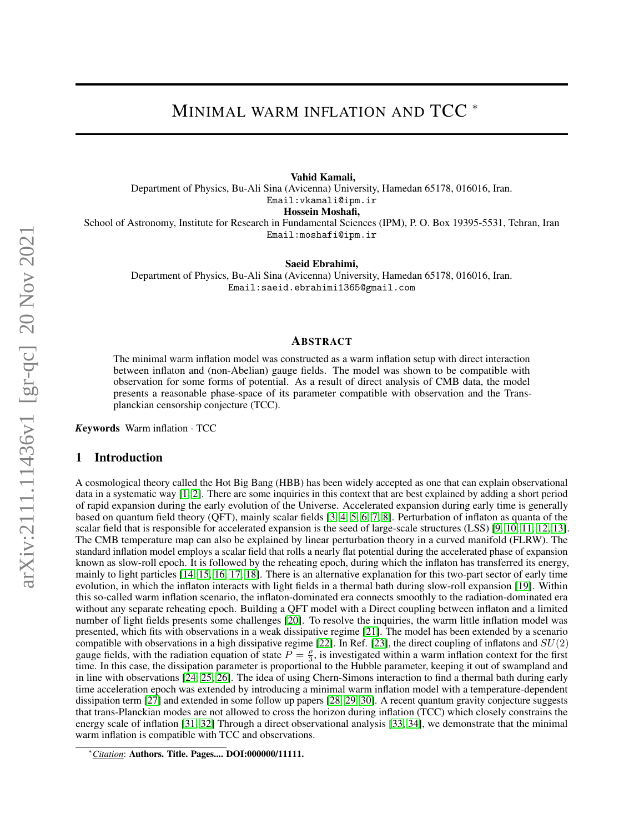# MINIMAL WARM INFLATION AND TCC<sup>\*</sup>

Vahid Kamali, Department of Physics, Bu-Ali Sina (Avicenna) University, Hamedan 65178, 016016, Iran. Email:vkamali@ipm.ir Hossein Moshafi, School of Astronomy, Institute for Research in Fundamental Sciences (IPM), P. O. Box 19395-5531, Tehran, Iran Email:moshafi@ipm.ir

Saeid Ebrahimi,

Department of Physics, Bu-Ali Sina (Avicenna) University, Hamedan 65178, 016016, Iran. Email:saeid.ebrahimi1365@gmail.com

## ABSTRACT

The minimal warm inflation model was constructed as a warm inflation setup with direct interaction between inflaton and (non-Abelian) gauge fields. The model was shown to be compatible with observation for some forms of potential. As a result of direct analysis of CMB data, the model presents a reasonable phase-space of its parameter compatible with observation and the Transplanckian censorship conjecture (TCC).

*K*eywords Warm inflation · TCC

## 1 Introduction

A cosmological theory called the Hot Big Bang (HBB) has been widely accepted as one that can explain observational data in a systematic way [\[1,](#page-3-0) [2\]](#page-3-1). There are some inquiries in this context that are best explained by adding a short period of rapid expansion during the early evolution of the Universe. Accelerated expansion during early time is generally based on quantum field theory (QFT), mainly scalar fields [\[3,](#page-3-2) [4,](#page-3-3) [5,](#page-3-4) [6,](#page-3-5) [7,](#page-3-6) [8\]](#page-3-7). Perturbation of inflaton as quanta of the scalar field that is responsible for accelerated expansion is the seed of large-scale structures (LSS) [\[9,](#page-3-8) [10,](#page-3-9) [11,](#page-3-10) [12,](#page-3-11) [13\]](#page-4-0). The CMB temperature map can also be explained by linear perturbation theory in a curved manifold (FLRW). The standard inflation model employs a scalar field that rolls a nearly flat potential during the accelerated phase of expansion known as slow-roll epoch. It is followed by the reheating epoch, during which the inflaton has transferred its energy, mainly to light particles [\[14,](#page-4-1) [15,](#page-4-2) [16,](#page-4-3) [17,](#page-4-4) [18\]](#page-4-5). There is an alternative explanation for this two-part sector of early time evolution, in which the inflaton interacts with light fields in a thermal bath during slow-roll expansion [\[19\]](#page-4-6). Within this so-called warm inflation scenario, the inflaton-dominated era connects smoothly to the radiation-dominated era without any separate reheating epoch. Building a QFT model with a Direct coupling between inflaton and a limited number of light fields presents some challenges [\[20\]](#page-4-7). To resolve the inquiries, the warm little inflation model was presented, which fits with observations in a weak dissipative regime [\[21\]](#page-4-8). The model has been extended by a scenario compatible with observations in a high dissipative regime [\[22\]](#page-4-9). In Ref. [\[23\]](#page-4-10), the direct coupling of inflatons and  $SU(2)$ gauge fields, with the radiation equation of state  $P = \frac{\rho}{3}$ , is investigated within a warm inflation context for the first time. In this case, the dissipation parameter is proportional to the Hubble parameter, keeping it out of swampland and in line with observations [\[24,](#page-4-11) [25,](#page-4-12) [26\]](#page-4-13). The idea of using Chern-Simons interaction to find a thermal bath during early time acceleration epoch was extended by introducing a minimal warm inflation model with a temperature-dependent dissipation term [\[27\]](#page-4-14) and extended in some follow up papers [\[28,](#page-4-15) [29,](#page-4-16) [30\]](#page-4-17). A recent quantum gravity conjecture suggests that trans-Planckian modes are not allowed to cross the horizon during inflation (TCC) which closely constrains the energy scale of inflation [\[31,](#page-4-18) [32\]](#page-4-19) Through a direct observational analysis [\[33,](#page-4-20) [34\]](#page-4-21), we demonstrate that the minimal warm inflation is compatible with TCC and observations.

<sup>∗</sup>*Citation*: Authors. Title. Pages.... DOI:000000/11111.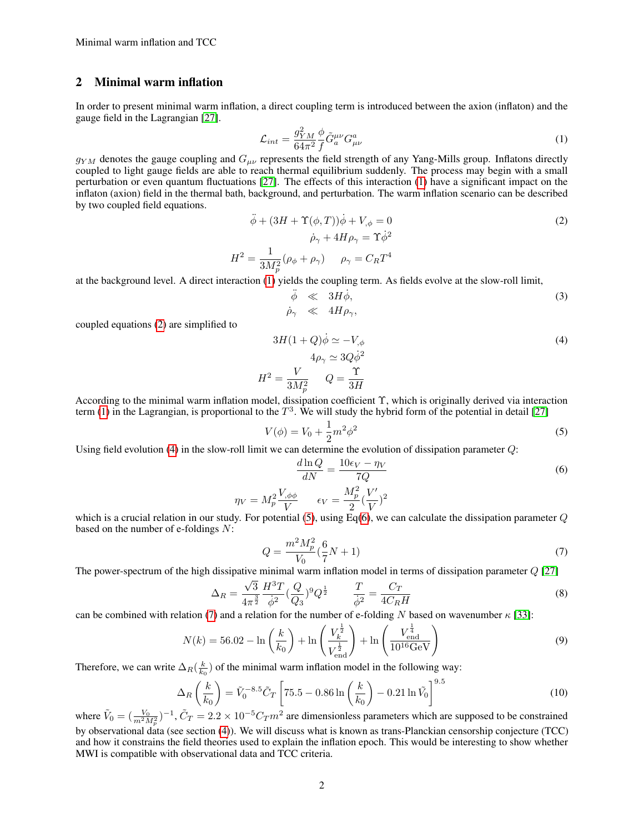# 2 Minimal warm inflation

In order to present minimal warm inflation, a direct coupling term is introduced between the axion (inflaton) and the gauge field in the Lagrangian [\[27\]](#page-4-14).

<span id="page-1-0"></span>
$$
\mathcal{L}_{int} = \frac{g_{YM}^2}{64\pi^2} \frac{\phi}{f} \tilde{G}_a^{\mu\nu} G_{\mu\nu}^a \tag{1}
$$

 $g_{YM}$  denotes the gauge coupling and  $G_{\mu\nu}$  represents the field strength of any Yang-Mills group. Inflatons directly coupled to light gauge fields are able to reach thermal equilibrium suddenly. The process may begin with a small perturbation or even quantum fluctuations [\[27\]](#page-4-14). The effects of this interaction [\(1\)](#page-1-0) have a significant impact on the inflaton (axion) field in the thermal bath, background, and perturbation. The warm inflation scenario can be described by two coupled field equations.

<span id="page-1-1"></span>
$$
\ddot{\phi} + (3H + \Upsilon(\phi, T))\dot{\phi} + V_{,\phi} = 0
$$
  
\n
$$
\dot{\rho}_{\gamma} + 4H\rho_{\gamma} = \Upsilon\dot{\phi}^{2}
$$
  
\n
$$
H^{2} = \frac{1}{3M_{p}^{2}}(\rho_{\phi} + \rho_{\gamma}) \qquad \rho_{\gamma} = C_{R}T^{4}
$$
\n(2)

at the background level. A direct interaction [\(1\)](#page-1-0) yields the coupling term. As fields evolve at the slow-roll limit,

$$
\ddot{\phi} \ll 3H\dot{\phi}, \qquad (3)
$$
\n
$$
\dot{\rho}_{\gamma} \ll 4H\rho_{\gamma},
$$

coupled equations [\(2\)](#page-1-1) are simplified to

<span id="page-1-2"></span>
$$
3H(1+Q)\dot{\phi} \simeq -V_{,\phi}
$$
  
\n
$$
4\rho_{\gamma} \simeq 3Q\dot{\phi}^{2}
$$
  
\n
$$
a^{2} = \frac{V}{3M_{p}^{2}} \qquad Q = \frac{\Upsilon}{3H}
$$
\n(4)

According to the minimal warm inflation model, dissipation coefficient Υ, which is originally derived via interaction term [\(1\)](#page-1-0) in the Lagrangian, is proportional to the  $T^3$ . We will study the hybrid form of the potential in detail [\[27\]](#page-4-14)

<span id="page-1-3"></span>
$$
V(\phi) = V_0 + \frac{1}{2}m^2\phi^2
$$
\n(5)

Using field evolution [\(4\)](#page-1-2) in the slow-roll limit we can determine the evolution of dissipation parameter Q:

 $H$ 

<span id="page-1-4"></span>
$$
\frac{d\ln Q}{dN} = \frac{10\epsilon_V - \eta_V}{7Q} \tag{6}
$$

$$
\eta_V = M_p^2 \frac{V_{,\phi\phi}}{V} \qquad \epsilon_V = \frac{M_p^2}{2} (\frac{V'}{V})^2
$$

which is a crucial relation in our study. For potential [\(5\)](#page-1-3), using Eq[\(6\)](#page-1-4), we can calculate the dissipation parameter  $Q$ based on the number of e-foldings  $N$ :

<span id="page-1-5"></span>
$$
Q = \frac{m^2 M_p^2}{V_0} \left(\frac{6}{7}N + 1\right) \tag{7}
$$

The power-spectrum of the high dissipative minimal warm inflation model in terms of dissipation parameter  $Q$  [\[27\]](#page-4-14)

$$
\Delta_R = \frac{\sqrt{3}}{4\pi^{\frac{3}{2}}} \frac{H^3 T}{\dot{\phi}^2} (\frac{Q}{Q_3})^9 Q^{\frac{1}{2}} \qquad \frac{T}{\dot{\phi}^2} = \frac{C_T}{4C_R H} \tag{8}
$$

can be combined with relation [\(7\)](#page-1-5) and a relation for the number of e-folding N based on wavenumber  $\kappa$  [\[33\]](#page-4-20):

$$
N(k) = 56.02 - \ln\left(\frac{k}{k_0}\right) + \ln\left(\frac{V_k^{\frac{1}{2}}}{V_{\text{end}}^{\frac{1}{2}}\right) + \ln\left(\frac{V_{\text{end}}^{\frac{1}{4}}}{10^{16}\text{GeV}}\right) \tag{9}
$$

Therefore, we can write  $\Delta_R(\frac{k}{k_0})$  of the minimal warm inflation model in the following way:

<span id="page-1-6"></span>
$$
\Delta_R \left( \frac{k}{k_0} \right) = \tilde{V}_0^{-8.5} \tilde{C}_T \left[ 75.5 - 0.86 \ln \left( \frac{k}{k_0} \right) - 0.21 \ln \tilde{V}_0 \right]^{9.5}
$$
(10)

where  $\tilde{V}_0 = (\frac{V_0}{m^2 M_p^2})^{-1}$ ,  $\tilde{C}_T = 2.2 \times 10^{-5} C_T m^2$  are dimensionless parameters which are supposed to be constrained by observational data (see section [\(4\)](#page-2-0)). We will discuss what is known as trans-Planckian censorship conjecture (TCC) and how it constrains the field theories used to explain the inflation epoch. This would be interesting to show whether MWI is compatible with observational data and TCC criteria.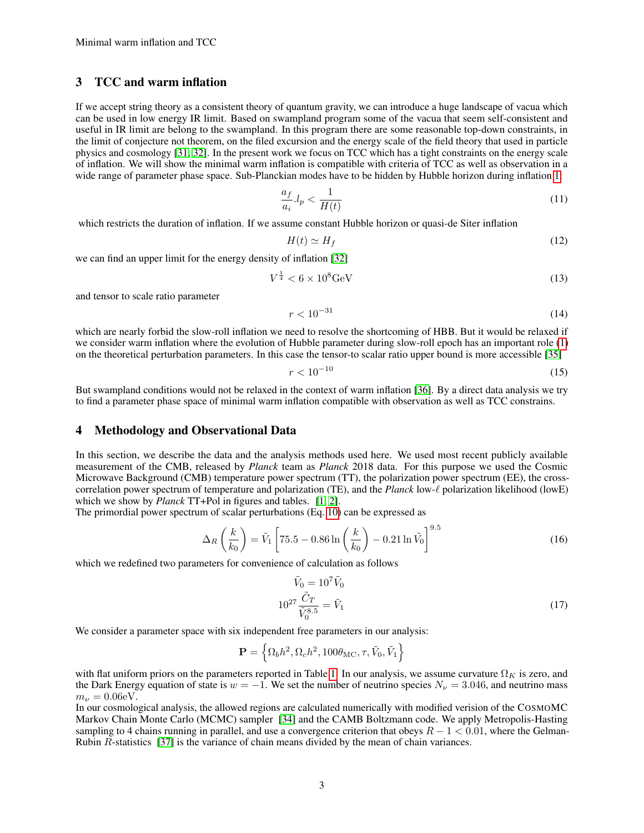# 3 TCC and warm inflation

If we accept string theory as a consistent theory of quantum gravity, we can introduce a huge landscape of vacua which can be used in low energy IR limit. Based on swampland program some of the vacua that seem self-consistent and useful in IR limit are belong to the swampland. In this program there are some reasonable top-down constraints, in the limit of conjecture not theorem, on the filed excursion and the energy scale of the field theory that used in particle physics and cosmology [\[31,](#page-4-18) [32\]](#page-4-19). In the present work we focus on TCC which has a tight constraints on the energy scale of inflation. We will show the minimal warm inflation is compatible with criteria of TCC as well as observation in a wide range of parameter phase space. Sub-Planckian modes have to be hidden by Hubble horizon during inflation [1:](#page-5-0)

<span id="page-2-2"></span>
$$
\frac{a_f}{a_i} l_p < \frac{1}{H(t)}\tag{11}
$$

which restricts the duration of inflation. If we assume constant Hubble horizon or quasi-de Siter inflation

$$
H(t) \simeq H_f \tag{12}
$$

we can find an upper limit for the energy density of inflation [\[32\]](#page-4-19)

<span id="page-2-1"></span>
$$
V^{\frac{1}{4}} < 6 \times 10^8 \text{GeV} \tag{13}
$$

and tensor to scale ratio parameter

$$
r < 10^{-31} \tag{14}
$$

which are nearly forbid the slow-roll inflation we need to resolve the shortcoming of HBB. But it would be relaxed if we consider warm inflation where the evolution of Hubble parameter during slow-roll epoch has an important role [\(1\)](#page-5-0) on the theoretical perturbation parameters. In this case the tensor-to scalar ratio upper bound is more accessible [\[35\]](#page-4-22)

$$
r < 10^{-10} \tag{15}
$$

But swampland conditions would not be relaxed in the context of warm inflation [\[36\]](#page-4-23). By a direct data analysis we try to find a parameter phase space of minimal warm inflation compatible with observation as well as TCC constrains.

#### <span id="page-2-0"></span>4 Methodology and Observational Data

In this section, we describe the data and the analysis methods used here. We used most recent publicly available measurement of the CMB, released by *Planck* team as *Planck* 2018 data. For this purpose we used the Cosmic Microwave Background (CMB) temperature power spectrum (TT), the polarization power spectrum (EE), the crosscorrelation power spectrum of temperature and polarization (TE), and the *Planck* low- $\ell$  polarization likelihood (lowE) which we show by *Planck* TT+Pol in figures and tables. [\[1,](#page-3-0) [2\]](#page-3-1).

The primordial power spectrum of scalar perturbations (Eq. [10\)](#page-1-6) can be expressed as

$$
\Delta_R \left( \frac{k}{k_0} \right) = \tilde{V}_1 \left[ 75.5 - 0.86 \ln \left( \frac{k}{k_0} \right) - 0.21 \ln \tilde{V}_0 \right]^{9.5}
$$
(16)

which we redefined two parameters for convenience of calculation as follows

$$
\tilde{V}_0 = 10^7 \tilde{V}_0
$$
  
\n
$$
10^{27} \frac{\tilde{C}_T}{\tilde{V}_0^{8.5}} = \tilde{V}_1
$$
\n(17)

We consider a parameter space with six independent free parameters in our analysis:

$$
\mathbf{P} = \left\{ \Omega_b h^2, \Omega_c h^2, 100 \theta_{\rm MC}, \tau, \tilde{V}_0, \tilde{V}_1 \right\}
$$

with flat uniform priors on the parameters reported in Table [1.](#page-3-12) In our analysis, we assume curvature  $\Omega_K$  is zero, and the Dark Energy equation of state is  $w = -1$ . We set the number of neutrino species  $N_{\nu} = 3.046$ , and neutrino mass  $m_{\nu} = 0.06$ eV.

In our cosmological analysis, the allowed regions are calculated numerically with modified verision of the COSMOMC Markov Chain Monte Carlo (MCMC) sampler [\[34\]](#page-4-21) and the CAMB Boltzmann code. We apply Metropolis-Hasting sampling to 4 chains running in parallel, and use a convergence criterion that obeys  $R - 1 < 0.01$ , where the Gelman-Rubin R-statistics [\[37\]](#page-4-24) is the variance of chain means divided by the mean of chain variances.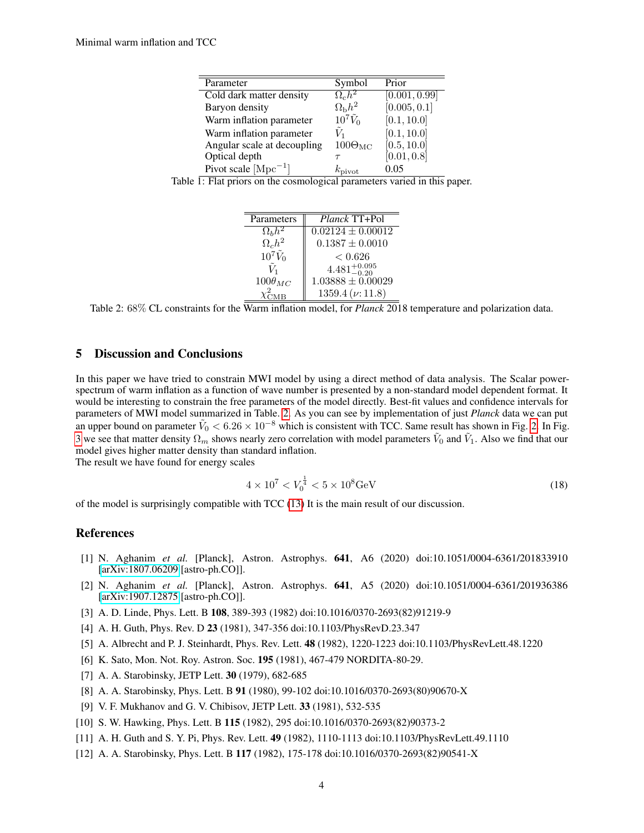| Parameter                   | Symbol              | Prior         |
|-----------------------------|---------------------|---------------|
| Cold dark matter density    | $\Omega_c h^2$      | [0.001, 0.99] |
| Baryon density              | $\Omega_{\rm b}h^2$ | [0.005, 0.1]  |
| Warm inflation parameter    | $10^7\tilde{V}_0$   | [0.1, 10.0]   |
| Warm inflation parameter    |                     | [0.1, 10.0]   |
| Angular scale at decoupling | $100\Theta_{MC}$    | [0.5, 10.0]   |
| Optical depth               |                     | [0.01, 0.8]   |
| Pivot scale $[Mpc^{-1}]$    | $k_{\text{pivot}}$  | 0.05          |

<span id="page-3-12"></span>

|  |  |  |  |  |  | Table 1: Flat priors on the cosmological parameters varied in this paper. |  |  |  |  |  |
|--|--|--|--|--|--|---------------------------------------------------------------------------|--|--|--|--|--|
|--|--|--|--|--|--|---------------------------------------------------------------------------|--|--|--|--|--|

| Parameters        | Planck TT+Pol            |
|-------------------|--------------------------|
| $\Omega_b h^2$    | $0.02124 \pm 0.00012$    |
| $\Omega_c h^2$    | $0.1387 \pm 0.0010$      |
| $10^7\tilde{V}_0$ | ${}< 0.626$              |
|                   | $4.481^{+0.095}_{-0.20}$ |
| $100\theta_{MC}$  | $1.03888 \pm 0.00029$    |
|                   | $1359.4 \, (\nu: 11.8)$  |

<span id="page-3-13"></span>Table 2: 68% CL constraints for the Warm inflation model, for *Planck* 2018 temperature and polarization data.

# 5 Discussion and Conclusions

In this paper we have tried to constrain MWI model by using a direct method of data analysis. The Scalar powerspectrum of warm inflation as a function of wave number is presented by a non-standard model dependent format. It would be interesting to constrain the free parameters of the model directly. Best-fit values and confidence intervals for parameters of MWI model summarized in Table. [2.](#page-3-13) As you can see by implementation of just *Planck* data we can put an upper bound on parameter  $\tilde{V}_0 < 6.26 \times 10^{-8}$  which is consistent with TCC. Same result has shown in Fig. [2.](#page-6-0) In Fig. [3](#page-7-0) we see that matter density  $\Omega_m$  shows nearly zero correlation with model parameters  $\tilde{V}_0$  and  $\tilde{V}_1$ . Also we find that our model gives higher matter density than standard inflation.

The result we have found for energy scales

$$
4 \times 10^7 < V_0^{\frac{1}{4}} < 5 \times 10^8 \text{GeV}
$$
 (18)

of the model is surprisingly compatible with TCC [\(13\)](#page-2-1) It is the main result of our discussion.

## References

- <span id="page-3-0"></span>[1] N. Aghanim *et al.* [Planck], Astron. Astrophys. 641, A6 (2020) doi:10.1051/0004-6361/201833910 [\[arXiv:1807.06209](http://arxiv.org/abs/1807.06209) [astro-ph.CO]].
- <span id="page-3-1"></span>[2] N. Aghanim *et al.* [Planck], Astron. Astrophys. 641, A5 (2020) doi:10.1051/0004-6361/201936386 [\[arXiv:1907.12875](http://arxiv.org/abs/1907.12875) [astro-ph.CO]].
- <span id="page-3-2"></span>[3] A. D. Linde, Phys. Lett. B 108, 389-393 (1982) doi:10.1016/0370-2693(82)91219-9
- <span id="page-3-3"></span>[4] A. H. Guth, Phys. Rev. D 23 (1981), 347-356 doi:10.1103/PhysRevD.23.347
- <span id="page-3-4"></span>[5] A. Albrecht and P. J. Steinhardt, Phys. Rev. Lett. 48 (1982), 1220-1223 doi:10.1103/PhysRevLett.48.1220
- <span id="page-3-5"></span>[6] K. Sato, Mon. Not. Roy. Astron. Soc. 195 (1981), 467-479 NORDITA-80-29.
- <span id="page-3-6"></span>[7] A. A. Starobinsky, JETP Lett. 30 (1979), 682-685
- <span id="page-3-7"></span>[8] A. A. Starobinsky, Phys. Lett. B 91 (1980), 99-102 doi:10.1016/0370-2693(80)90670-X
- <span id="page-3-8"></span>[9] V. F. Mukhanov and G. V. Chibisov, JETP Lett. 33 (1981), 532-535
- <span id="page-3-9"></span>[10] S. W. Hawking, Phys. Lett. B 115 (1982), 295 doi:10.1016/0370-2693(82)90373-2
- <span id="page-3-10"></span>[11] A. H. Guth and S. Y. Pi, Phys. Rev. Lett. 49 (1982), 1110-1113 doi:10.1103/PhysRevLett.49.1110
- <span id="page-3-11"></span>[12] A. A. Starobinsky, Phys. Lett. B 117 (1982), 175-178 doi:10.1016/0370-2693(82)90541-X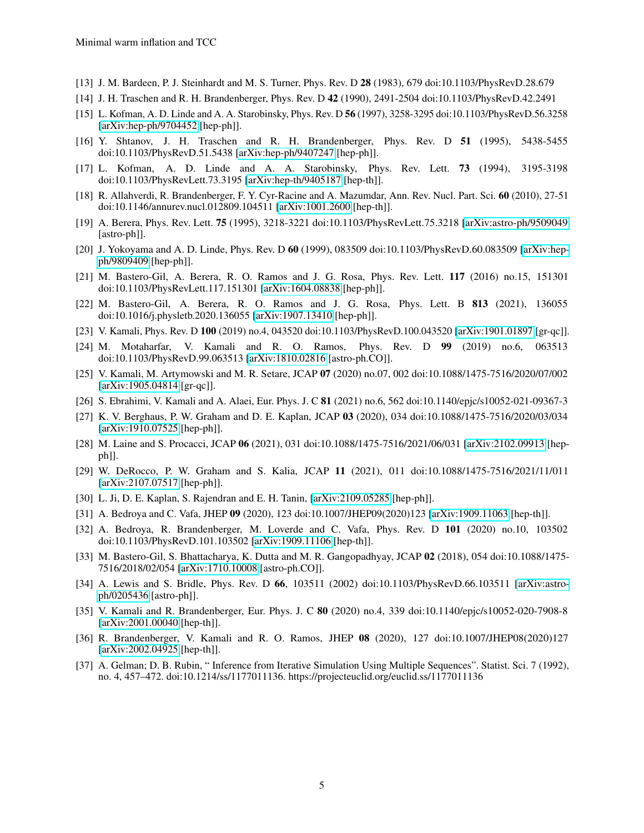- <span id="page-4-0"></span>[13] J. M. Bardeen, P. J. Steinhardt and M. S. Turner, Phys. Rev. D 28 (1983), 679 doi:10.1103/PhysRevD.28.679
- <span id="page-4-1"></span>[14] J. H. Traschen and R. H. Brandenberger, Phys. Rev. D 42 (1990), 2491-2504 doi:10.1103/PhysRevD.42.2491
- <span id="page-4-2"></span>[15] L. Kofman, A. D. Linde and A. A. Starobinsky, Phys. Rev. D 56 (1997), 3258-3295 doi:10.1103/PhysRevD.56.3258 [\[arXiv:hep-ph/9704452](http://arxiv.org/abs/hep-ph/9704452) [hep-ph]].
- <span id="page-4-3"></span>[16] Y. Shtanov, J. H. Traschen and R. H. Brandenberger, Phys. Rev. D 51 (1995), 5438-5455 doi:10.1103/PhysRevD.51.5438 [\[arXiv:hep-ph/9407247](http://arxiv.org/abs/hep-ph/9407247) [hep-ph]].
- <span id="page-4-4"></span>[17] L. Kofman, A. D. Linde and A. A. Starobinsky, Phys. Rev. Lett. 73 (1994), 3195-3198 doi:10.1103/PhysRevLett.73.3195 [\[arXiv:hep-th/9405187](http://arxiv.org/abs/hep-th/9405187) [hep-th]].
- <span id="page-4-5"></span>[18] R. Allahverdi, R. Brandenberger, F. Y. Cyr-Racine and A. Mazumdar, Ann. Rev. Nucl. Part. Sci. 60 (2010), 27-51 doi:10.1146/annurev.nucl.012809.104511 [\[arXiv:1001.2600](http://arxiv.org/abs/1001.2600) [hep-th]].
- <span id="page-4-6"></span>[19] A. Berera, Phys. Rev. Lett. 75 (1995), 3218-3221 doi:10.1103/PhysRevLett.75.3218 [\[arXiv:astro-ph/9509049](http://arxiv.org/abs/astro-ph/9509049) [astro-ph]].
- <span id="page-4-7"></span>[20] J. Yokoyama and A. D. Linde, Phys. Rev. D 60 (1999), 083509 doi:10.1103/PhysRevD.60.083509 [\[arXiv:hep](http://arxiv.org/abs/hep-ph/9809409)[ph/9809409](http://arxiv.org/abs/hep-ph/9809409) [hep-ph]].
- <span id="page-4-8"></span>[21] M. Bastero-Gil, A. Berera, R. O. Ramos and J. G. Rosa, Phys. Rev. Lett. 117 (2016) no.15, 151301 doi:10.1103/PhysRevLett.117.151301 [\[arXiv:1604.08838](http://arxiv.org/abs/1604.08838) [hep-ph]].
- <span id="page-4-9"></span>[22] M. Bastero-Gil, A. Berera, R. O. Ramos and J. G. Rosa, Phys. Lett. B 813 (2021), 136055 doi:10.1016/j.physletb.2020.136055 [\[arXiv:1907.13410](http://arxiv.org/abs/1907.13410) [hep-ph]].
- <span id="page-4-10"></span>[23] V. Kamali, Phys. Rev. D 100 (2019) no.4, 043520 doi:10.1103/PhysRevD.100.043520 [\[arXiv:1901.01897](http://arxiv.org/abs/1901.01897) [gr-qc]].
- <span id="page-4-11"></span>[24] M. Motaharfar, V. Kamali and R. O. Ramos, Phys. Rev. D 99 (2019) no.6, 063513 doi:10.1103/PhysRevD.99.063513 [\[arXiv:1810.02816](http://arxiv.org/abs/1810.02816) [astro-ph.CO]].
- <span id="page-4-12"></span>[25] V. Kamali, M. Artymowski and M. R. Setare, JCAP 07 (2020) no.07, 002 doi:10.1088/1475-7516/2020/07/002 [\[arXiv:1905.04814](http://arxiv.org/abs/1905.04814) [gr-qc]].
- <span id="page-4-13"></span>[26] S. Ebrahimi, V. Kamali and A. Alaei, Eur. Phys. J. C 81 (2021) no.6, 562 doi:10.1140/epjc/s10052-021-09367-3
- <span id="page-4-14"></span>[27] K. V. Berghaus, P. W. Graham and D. E. Kaplan, JCAP 03 (2020), 034 doi:10.1088/1475-7516/2020/03/034 [\[arXiv:1910.07525](http://arxiv.org/abs/1910.07525) [hep-ph]].
- <span id="page-4-15"></span>[28] M. Laine and S. Procacci, JCAP 06 (2021), 031 doi:10.1088/1475-7516/2021/06/031 [\[arXiv:2102.09913](http://arxiv.org/abs/2102.09913) [hepph]].
- <span id="page-4-16"></span>[29] W. DeRocco, P. W. Graham and S. Kalia, JCAP 11 (2021), 011 doi:10.1088/1475-7516/2021/11/011 [\[arXiv:2107.07517](http://arxiv.org/abs/2107.07517) [hep-ph]].
- <span id="page-4-17"></span>[30] L. Ji, D. E. Kaplan, S. Rajendran and E. H. Tanin, [\[arXiv:2109.05285](http://arxiv.org/abs/2109.05285) [hep-ph]].
- <span id="page-4-18"></span>[31] A. Bedroya and C. Vafa, JHEP 09 (2020), 123 doi:10.1007/JHEP09(2020)123 [\[arXiv:1909.11063](http://arxiv.org/abs/1909.11063) [hep-th]].
- <span id="page-4-19"></span>[32] A. Bedroya, R. Brandenberger, M. Loverde and C. Vafa, Phys. Rev. D 101 (2020) no.10, 103502 doi:10.1103/PhysRevD.101.103502 [\[arXiv:1909.11106](http://arxiv.org/abs/1909.11106) [hep-th]].
- <span id="page-4-20"></span>[33] M. Bastero-Gil, S. Bhattacharya, K. Dutta and M. R. Gangopadhyay, JCAP 02 (2018), 054 doi:10.1088/1475- 7516/2018/02/054 [\[arXiv:1710.10008](http://arxiv.org/abs/1710.10008) [astro-ph.CO]].
- <span id="page-4-21"></span>[34] A. Lewis and S. Bridle, Phys. Rev. D 66, 103511 (2002) doi:10.1103/PhysRevD.66.103511 [\[arXiv:astro](http://arxiv.org/abs/astro-ph/0205436)[ph/0205436](http://arxiv.org/abs/astro-ph/0205436) [astro-ph]].
- <span id="page-4-22"></span>[35] V. Kamali and R. Brandenberger, Eur. Phys. J. C 80 (2020) no.4, 339 doi:10.1140/epjc/s10052-020-7908-8 [\[arXiv:2001.00040](http://arxiv.org/abs/2001.00040) [hep-th]].
- <span id="page-4-23"></span>[36] R. Brandenberger, V. Kamali and R. O. Ramos, JHEP 08 (2020), 127 doi:10.1007/JHEP08(2020)127 [\[arXiv:2002.04925](http://arxiv.org/abs/2002.04925) [hep-th]].
- <span id="page-4-24"></span>[37] A. Gelman; D. B. Rubin, " Inference from Iterative Simulation Using Multiple Sequences". Statist. Sci. 7 (1992), no. 4, 457–472. doi:10.1214/ss/1177011136. https://projecteuclid.org/euclid.ss/1177011136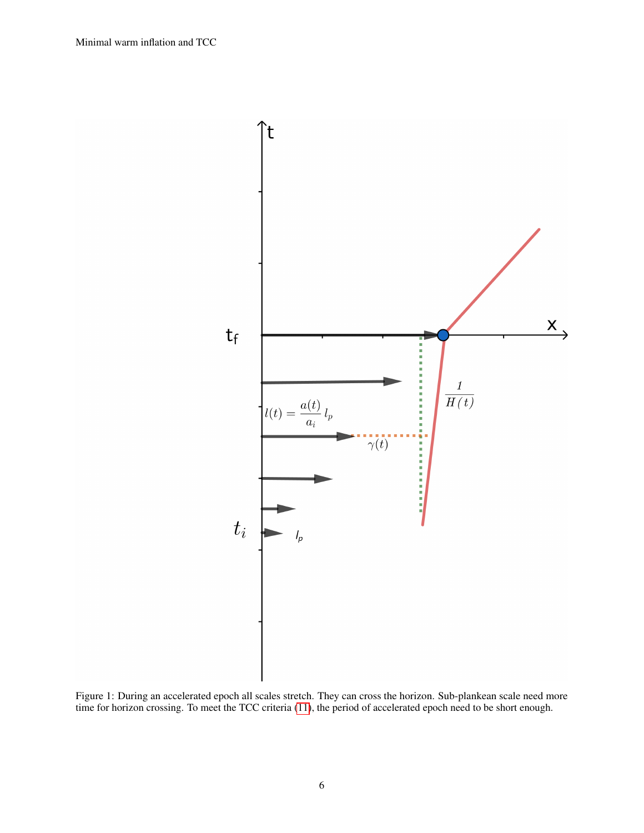

<span id="page-5-0"></span>Figure 1: During an accelerated epoch all scales stretch. They can cross the horizon. Sub-plankean scale need more time for horizon crossing. To meet the TCC criteria [\(11\)](#page-2-2), the period of accelerated epoch need to be short enough.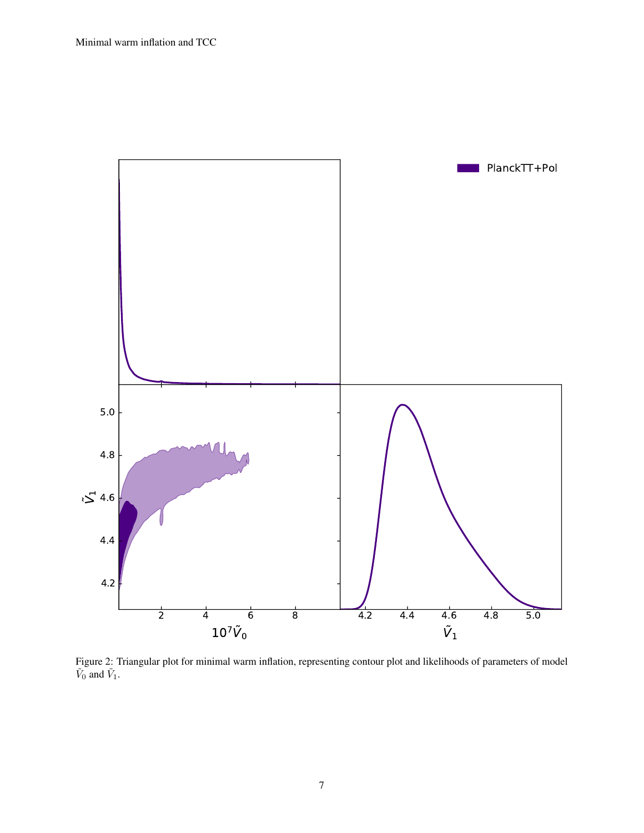

<span id="page-6-0"></span>Figure 2: Triangular plot for minimal warm inflation, representing contour plot and likelihoods of parameters of model  $\tilde{V}_0$  and  $\tilde{V}_1$ .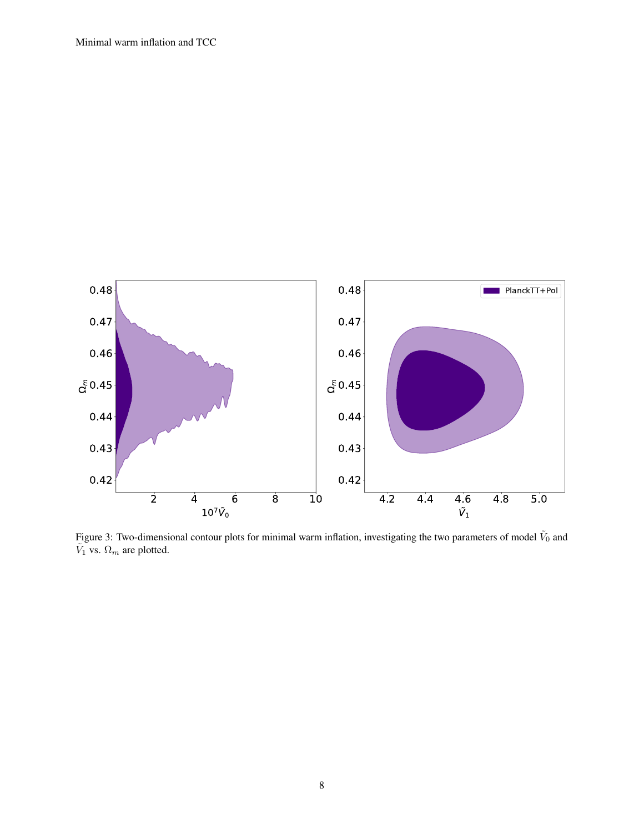

<span id="page-7-0"></span>Figure 3: Two-dimensional contour plots for minimal warm inflation, investigating the two parameters of model  $\tilde{V}_0$  and  $\tilde{V}_1$  vs.  $\Omega_m$  are plotted.